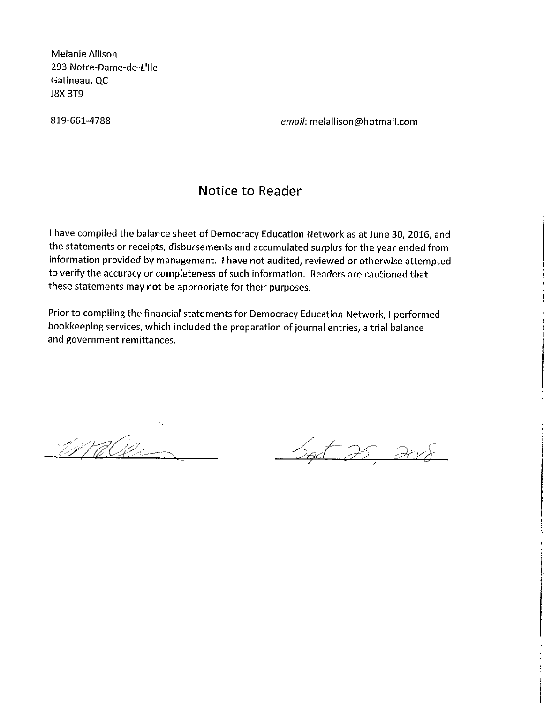MelanieAHison 293 Notre-Dame-de-L'lle Gatineau, QC J8X 3T9

819-661-4788 email: meiallison@hotmail.com

#### Notice to Reader

I have compiled the balance sheet of Democracy Education Network as at June 30, 2016, and the statements or receipts, disbursements and accumulated surplus for the year ended from information provided by management. I have not audited, reviewed or otherwise attempted to verify the accuracy or completeness of such information. Readers are cautioned that these statements may not be appropriate for their purposes.

Prior to compiling the financial statements for Democracy Education Network, I performed bookkeeping services, which included the preparation of journal entries, a trial balance and government remittances.

waller

Set 25 2008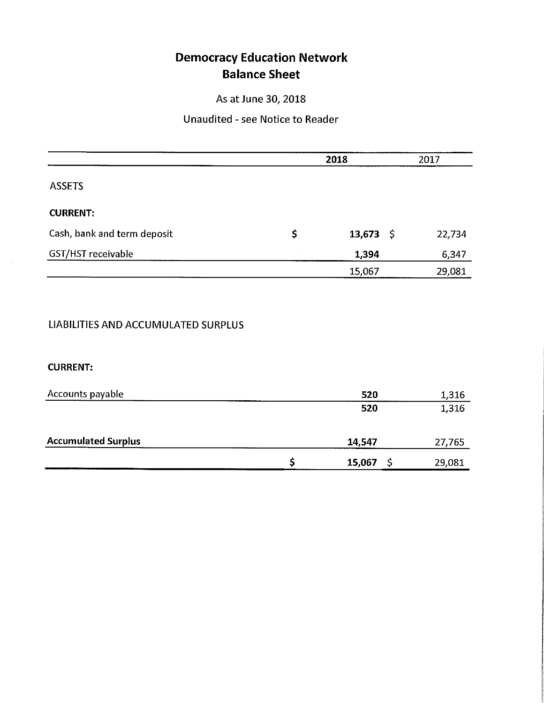# Democracy Education Network Balance Sheet

As at June 30, 2018

#### Unaudited - see Notice to Reader

|                             | 2018 |           | 2017   |  |
|-----------------------------|------|-----------|--------|--|
| <b>ASSETS</b>               |      |           |        |  |
| <b>CURRENT:</b>             |      |           |        |  |
| Cash, bank and term deposit | \$   | 13,673 \$ | 22,734 |  |
| GST/HST receivable          |      | 1,394     | 6,347  |  |
|                             |      | 15,067    | 29,081 |  |

### UABILITIES AND ACCUMULATED SURPLUS

#### CURRENT:

| Accounts payable           | 520    | 1,316  |
|----------------------------|--------|--------|
|                            | 520    | 1,316  |
| <b>Accumulated Surplus</b> | 14,547 | 27,765 |
|                            | 15,067 | 29,081 |